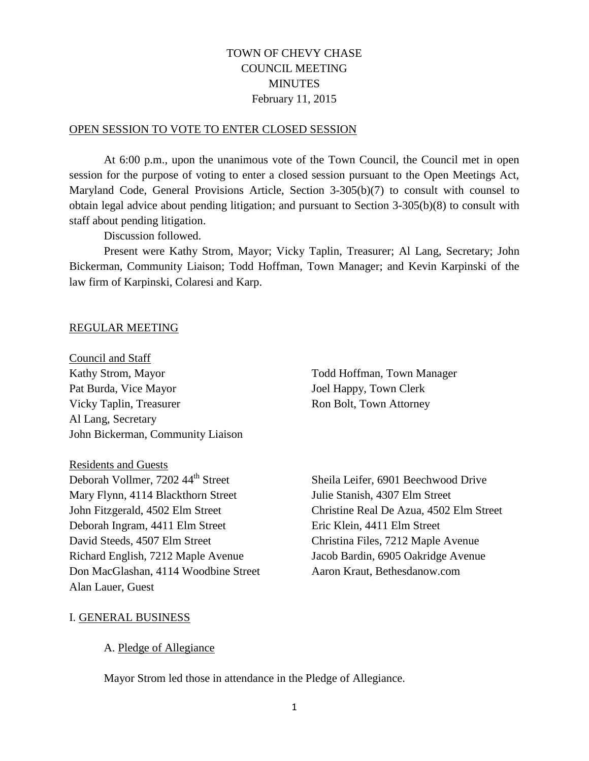# TOWN OF CHEVY CHASE COUNCIL MEETING **MINUTES** February 11, 2015

#### OPEN SESSION TO VOTE TO ENTER CLOSED SESSION

At 6:00 p.m., upon the unanimous vote of the Town Council, the Council met in open session for the purpose of voting to enter a closed session pursuant to the Open Meetings Act, Maryland Code, General Provisions Article, Section 3-305(b)(7) to consult with counsel to obtain legal advice about pending litigation; and pursuant to Section 3-305(b)(8) to consult with staff about pending litigation.

Discussion followed.

Present were Kathy Strom, Mayor; Vicky Taplin, Treasurer; Al Lang, Secretary; John Bickerman, Community Liaison; Todd Hoffman, Town Manager; and Kevin Karpinski of the law firm of Karpinski, Colaresi and Karp.

#### REGULAR MEETING

Council and Staff Kathy Strom, Mayor Todd Hoffman, Town Manager Pat Burda, Vice Mayor Joel Happy, Town Clerk Vicky Taplin, Treasurer Ron Bolt, Town Attorney Al Lang, Secretary John Bickerman, Community Liaison

Residents and Guests

Deborah Vollmer, 7202 44<sup>th</sup> Street Sheila Leifer, 6901 Beechwood Drive Mary Flynn, 4114 Blackthorn Street Julie Stanish, 4307 Elm Street Deborah Ingram, 4411 Elm Street Eric Klein, 4411 Elm Street David Steeds, 4507 Elm Street Christina Files, 7212 Maple Avenue Richard English, 7212 Maple Avenue Jacob Bardin, 6905 Oakridge Avenue Don MacGlashan, 4114 Woodbine Street Aaron Kraut, Bethesdanow.com Alan Lauer, Guest

John Fitzgerald, 4502 Elm Street Christine Real De Azua, 4502 Elm Street

### I. GENERAL BUSINESS

### A. Pledge of Allegiance

Mayor Strom led those in attendance in the Pledge of Allegiance.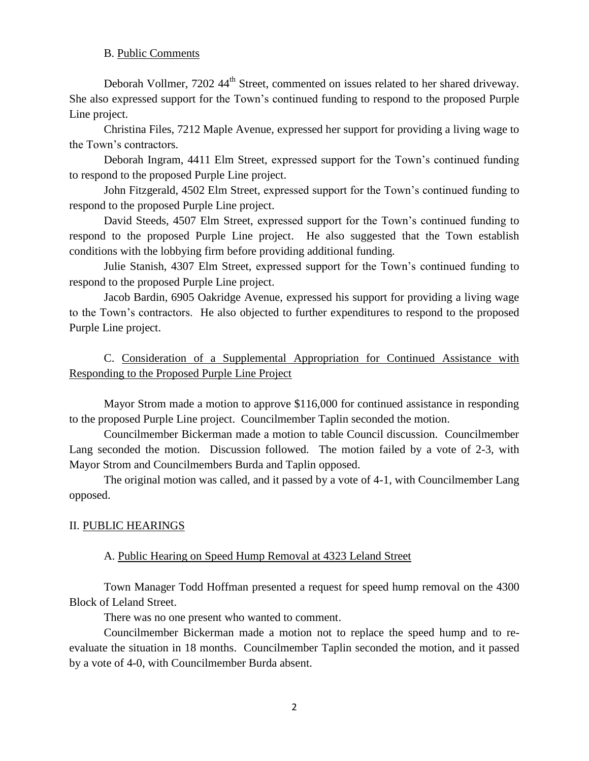### B. Public Comments

Deborah Vollmer, 7202 44<sup>th</sup> Street, commented on issues related to her shared driveway. She also expressed support for the Town's continued funding to respond to the proposed Purple Line project.

Christina Files, 7212 Maple Avenue, expressed her support for providing a living wage to the Town's contractors.

Deborah Ingram, 4411 Elm Street, expressed support for the Town's continued funding to respond to the proposed Purple Line project.

John Fitzgerald, 4502 Elm Street, expressed support for the Town's continued funding to respond to the proposed Purple Line project.

David Steeds, 4507 Elm Street, expressed support for the Town's continued funding to respond to the proposed Purple Line project. He also suggested that the Town establish conditions with the lobbying firm before providing additional funding.

Julie Stanish, 4307 Elm Street, expressed support for the Town's continued funding to respond to the proposed Purple Line project.

Jacob Bardin, 6905 Oakridge Avenue, expressed his support for providing a living wage to the Town's contractors. He also objected to further expenditures to respond to the proposed Purple Line project.

C. Consideration of a Supplemental Appropriation for Continued Assistance with Responding to the Proposed Purple Line Project

Mayor Strom made a motion to approve \$116,000 for continued assistance in responding to the proposed Purple Line project. Councilmember Taplin seconded the motion.

Councilmember Bickerman made a motion to table Council discussion. Councilmember Lang seconded the motion. Discussion followed. The motion failed by a vote of 2-3, with Mayor Strom and Councilmembers Burda and Taplin opposed.

The original motion was called, and it passed by a vote of 4-1, with Councilmember Lang opposed.

# II. PUBLIC HEARINGS

# A. Public Hearing on Speed Hump Removal at 4323 Leland Street

Town Manager Todd Hoffman presented a request for speed hump removal on the 4300 Block of Leland Street.

There was no one present who wanted to comment.

Councilmember Bickerman made a motion not to replace the speed hump and to reevaluate the situation in 18 months. Councilmember Taplin seconded the motion, and it passed by a vote of 4-0, with Councilmember Burda absent.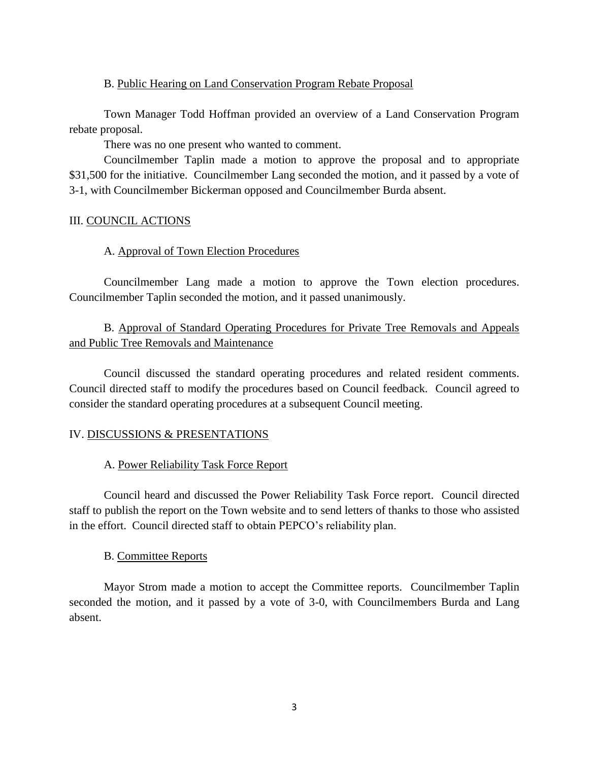### B. Public Hearing on Land Conservation Program Rebate Proposal

Town Manager Todd Hoffman provided an overview of a Land Conservation Program rebate proposal.

There was no one present who wanted to comment.

Councilmember Taplin made a motion to approve the proposal and to appropriate \$31,500 for the initiative. Councilmember Lang seconded the motion, and it passed by a vote of 3-1, with Councilmember Bickerman opposed and Councilmember Burda absent.

# III. COUNCIL ACTIONS

# A. Approval of Town Election Procedures

Councilmember Lang made a motion to approve the Town election procedures. Councilmember Taplin seconded the motion, and it passed unanimously.

B. Approval of Standard Operating Procedures for Private Tree Removals and Appeals and Public Tree Removals and Maintenance

Council discussed the standard operating procedures and related resident comments. Council directed staff to modify the procedures based on Council feedback. Council agreed to consider the standard operating procedures at a subsequent Council meeting.

# IV. DISCUSSIONS & PRESENTATIONS

# A. Power Reliability Task Force Report

Council heard and discussed the Power Reliability Task Force report. Council directed staff to publish the report on the Town website and to send letters of thanks to those who assisted in the effort. Council directed staff to obtain PEPCO's reliability plan.

# B. Committee Reports

Mayor Strom made a motion to accept the Committee reports. Councilmember Taplin seconded the motion, and it passed by a vote of 3-0, with Councilmembers Burda and Lang absent.